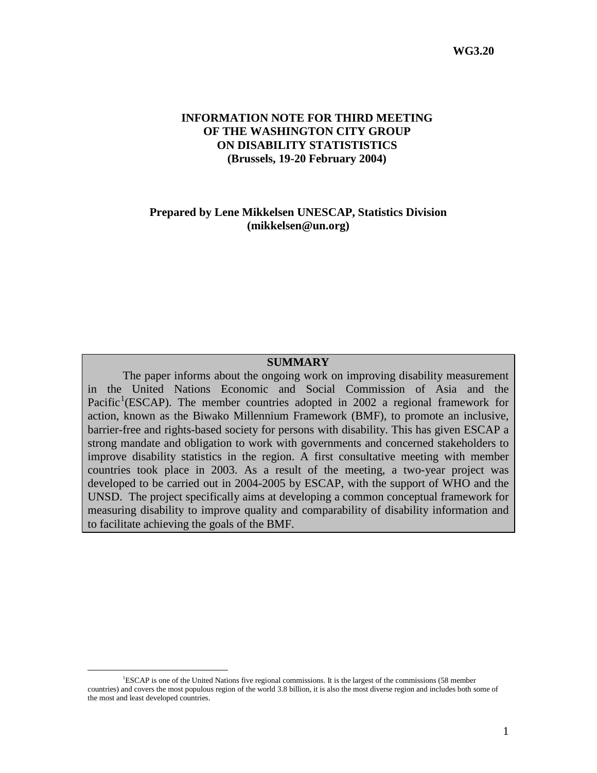### **INFORMATION NOTE FOR THIRD MEETING OF THE WASHINGTON CITY GROUP ON DISABILITY STATISTISTICS (Brussels, 19-20 February 2004)**

#### **Prepared by Lene Mikkelsen UNESCAP, Statistics Division (mikkelsen@un.org)**

#### **SUMMARY**

The paper informs about the ongoing work on improving disability measurement in the United Nations Economic and Social Commission of Asia and the Pacific<sup>[1](#page-0-0)</sup>(ESCAP). The member countries adopted in 2002 a regional framework for action, known as the Biwako Millennium Framework (BMF), to promote an inclusive, barrier-free and rights-based society for persons with disability. This has given ESCAP a strong mandate and obligation to work with governments and concerned stakeholders to improve disability statistics in the region. A first consultative meeting with member countries took place in 2003. As a result of the meeting, a two-year project was developed to be carried out in 2004-2005 by ESCAP, with the support of WHO and the UNSD. The project specifically aims at developing a common conceptual framework for measuring disability to improve quality and comparability of disability information and to facilitate achieving the goals of the BMF.

<span id="page-0-0"></span> $\frac{1}{1}$ <sup>1</sup>ESCAP is one of the United Nations five regional commissions. It is the largest of the commissions (58 member countries) and covers the most populous region of the world 3.8 billion, it is also the most diverse region and includes both some of the most and least developed countries.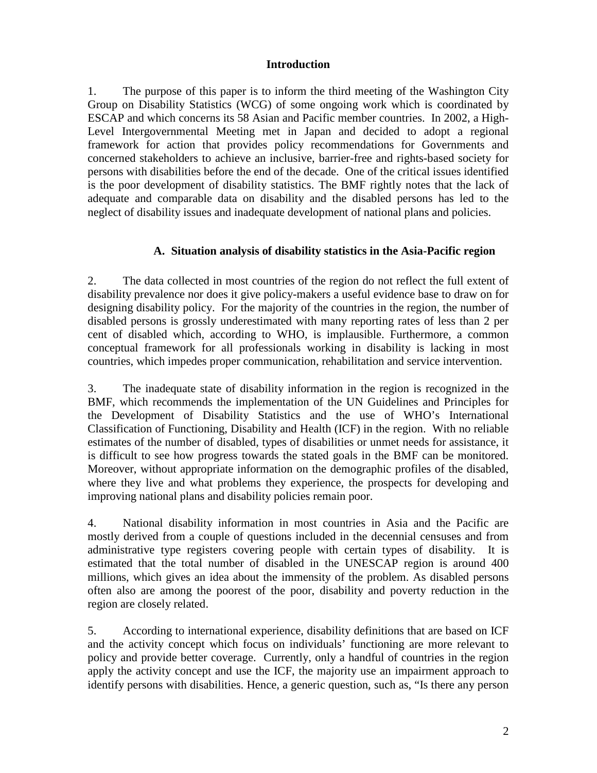### **Introduction**

1. The purpose of this paper is to inform the third meeting of the Washington City Group on Disability Statistics (WCG) of some ongoing work which is coordinated by ESCAP and which concerns its 58 Asian and Pacific member countries. In 2002, a High-Level Intergovernmental Meeting met in Japan and decided to adopt a regional framework for action that provides policy recommendations for Governments and concerned stakeholders to achieve an inclusive, barrier-free and rights-based society for persons with disabilities before the end of the decade. One of the critical issues identified is the poor development of disability statistics. The BMF rightly notes that the lack of adequate and comparable data on disability and the disabled persons has led to the neglect of disability issues and inadequate development of national plans and policies.

## **A. Situation analysis of disability statistics in the Asia-Pacific region**

2. The data collected in most countries of the region do not reflect the full extent of disability prevalence nor does it give policy-makers a useful evidence base to draw on for designing disability policy. For the majority of the countries in the region, the number of disabled persons is grossly underestimated with many reporting rates of less than 2 per cent of disabled which, according to WHO, is implausible. Furthermore, a common conceptual framework for all professionals working in disability is lacking in most countries, which impedes proper communication, rehabilitation and service intervention.

3. The inadequate state of disability information in the region is recognized in the BMF, which recommends the implementation of the UN Guidelines and Principles for the Development of Disability Statistics and the use of WHO's International Classification of Functioning, Disability and Health (ICF) in the region. With no reliable estimates of the number of disabled, types of disabilities or unmet needs for assistance, it is difficult to see how progress towards the stated goals in the BMF can be monitored. Moreover, without appropriate information on the demographic profiles of the disabled, where they live and what problems they experience, the prospects for developing and improving national plans and disability policies remain poor.

4. National disability information in most countries in Asia and the Pacific are mostly derived from a couple of questions included in the decennial censuses and from administrative type registers covering people with certain types of disability. It is estimated that the total number of disabled in the UNESCAP region is around 400 millions, which gives an idea about the immensity of the problem. As disabled persons often also are among the poorest of the poor, disability and poverty reduction in the region are closely related.

5. According to international experience, disability definitions that are based on ICF and the activity concept which focus on individuals' functioning are more relevant to policy and provide better coverage. Currently, only a handful of countries in the region apply the activity concept and use the ICF, the majority use an impairment approach to identify persons with disabilities. Hence, a generic question, such as, "Is there any person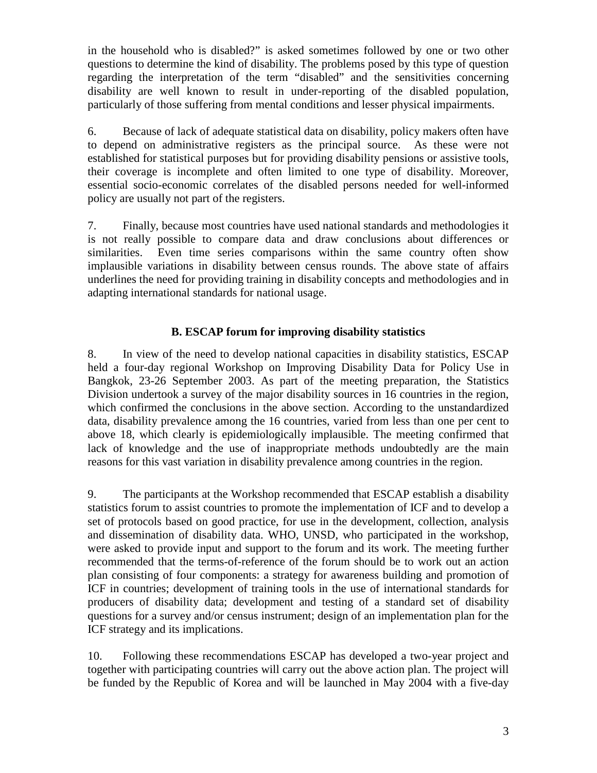in the household who is disabled?" is asked sometimes followed by one or two other questions to determine the kind of disability. The problems posed by this type of question regarding the interpretation of the term "disabled" and the sensitivities concerning disability are well known to result in under-reporting of the disabled population, particularly of those suffering from mental conditions and lesser physical impairments.

6. Because of lack of adequate statistical data on disability, policy makers often have to depend on administrative registers as the principal source. As these were not established for statistical purposes but for providing disability pensions or assistive tools, their coverage is incomplete and often limited to one type of disability. Moreover, essential socio-economic correlates of the disabled persons needed for well-informed policy are usually not part of the registers.

7. Finally, because most countries have used national standards and methodologies it is not really possible to compare data and draw conclusions about differences or similarities. Even time series comparisons within the same country often show implausible variations in disability between census rounds. The above state of affairs underlines the need for providing training in disability concepts and methodologies and in adapting international standards for national usage.

# **B. ESCAP forum for improving disability statistics**

8. In view of the need to develop national capacities in disability statistics, ESCAP held a four-day regional Workshop on Improving Disability Data for Policy Use in Bangkok, 23-26 September 2003. As part of the meeting preparation, the Statistics Division undertook a survey of the major disability sources in 16 countries in the region, which confirmed the conclusions in the above section. According to the unstandardized data, disability prevalence among the 16 countries, varied from less than one per cent to above 18, which clearly is epidemiologically implausible. The meeting confirmed that lack of knowledge and the use of inappropriate methods undoubtedly are the main reasons for this vast variation in disability prevalence among countries in the region.

9. The participants at the Workshop recommended that ESCAP establish a disability statistics forum to assist countries to promote the implementation of ICF and to develop a set of protocols based on good practice, for use in the development, collection, analysis and dissemination of disability data. WHO, UNSD, who participated in the workshop, were asked to provide input and support to the forum and its work. The meeting further recommended that the terms-of-reference of the forum should be to work out an action plan consisting of four components: a strategy for awareness building and promotion of ICF in countries; development of training tools in the use of international standards for producers of disability data; development and testing of a standard set of disability questions for a survey and/or census instrument; design of an implementation plan for the ICF strategy and its implications.

10. Following these recommendations ESCAP has developed a two-year project and together with participating countries will carry out the above action plan. The project will be funded by the Republic of Korea and will be launched in May 2004 with a five-day